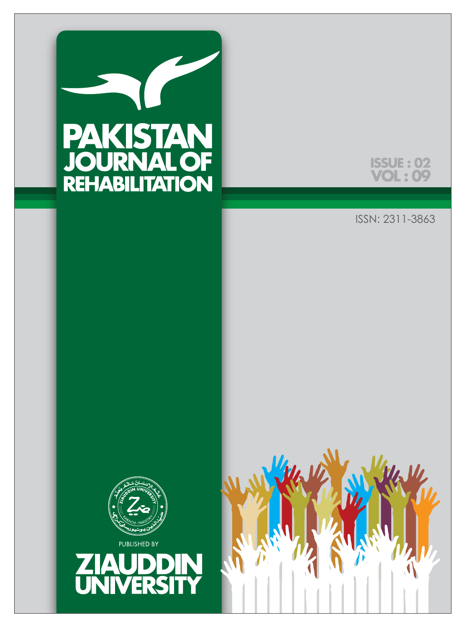



ISSN: 2311-3863





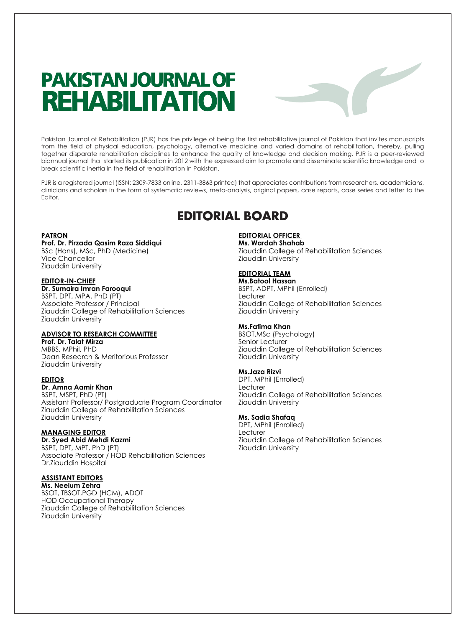# **PAKISTAN JOURNAL OF REHABILITATION**

Pakistan Journal of Rehabilitation (PJR) has the privilege of being the first rehabilitative journal of Pakistan that invites manuscripts from the field of physical education, psychology, alternative medicine and varied domains of rehabilitation, thereby, pulling together disparate rehabilitation disciplines to enhance the quality of knowledge and decision making. PJR is a peer-reviewed biannual journal that started its publication in 2012 with the expressed aim to promote and disseminate scientific knowledge and to break scientific inertia in the field of rehabilitation in Pakistan.

PJR is a registered journal (ISSN: 2309-7833 online, 2311-3863 printed) that appreciates contributions from researchers, academicians, clinicians and scholars in the form of systematic reviews, meta-analysis, original papers, case reports, case series and letter to the Editor.

## **EDITORIAL BOARD**

## **PATRON**

## **Prof. Dr. Pirzada Qasim Raza Siddiqui**

BSc (Hons), MSc, PhD (Medicine) Vice Chancellor Ziauddin University

## **EDITOR-IN-CHIEF**

**Dr. Sumaira Imran Farooqui** BSPT, DPT, MPA, PhD (PT) Associate Professor / Principal Ziauddin College of Rehabilitation Sciences Ziauddin University

## **ADVISOR TO RESEARCH COMMITTEE**

**Prof. Dr. Talat Mirza** MBBS, MPhil, PhD Dean Research & Meritorious Professor Ziauddin University

#### **EDITOR**

## **Dr. Amna Aamir Khan**

BSPT, MSPT, PhD (PT) Assistant Professor/ Postgraduate Program Coordinator Ziauddin College of Rehabilitation Sciences Ziauddin University

## **MANAGING EDITOR**

**Dr. Syed Abid Mehdi Kazmi** BSPT, DPT, MPT, PhD (PT) Associate Professor / HOD Rehabilitation Sciences Dr.Ziauddin Hospital

## **ASSISTANT EDITORS**

**Ms. Neelum Zehra** BSOT, TBSOT,PGD (HCM), ADOT HOD Occupational Therapy Ziauddin College of Rehabilitation Sciences Ziauddin University

## **EDITORIAL OFFICER**

**Ms. Wardah Shahab** Ziauddin College of Rehabilitation Sciences Ziauddin University

 $\overline{\phantom{0}}$ 

## **EDITORIAL TEAM**

**Ms.Batool Hassan** BSPT, ADPT, MPhil (Enrolled) Lecturer Ziauddin College of Rehabilitation Sciences Ziauddin University

## **Ms.Fatima Khan**

BSOT,MSc (Psychology) Senior Lecturer Ziauddin College of Rehabilitation Sciences Ziauddin University

#### **Ms.Jaza Rizvi**

DPT, MPhil (Enrolled) Lecturer Ziauddin College of Rehabilitation Sciences Ziauddin University

#### **Ms. Sadia Shafaq**

DPT, MPhil (Enrolled) Lecturer Ziauddin College of Rehabilitation Sciences Ziauddin University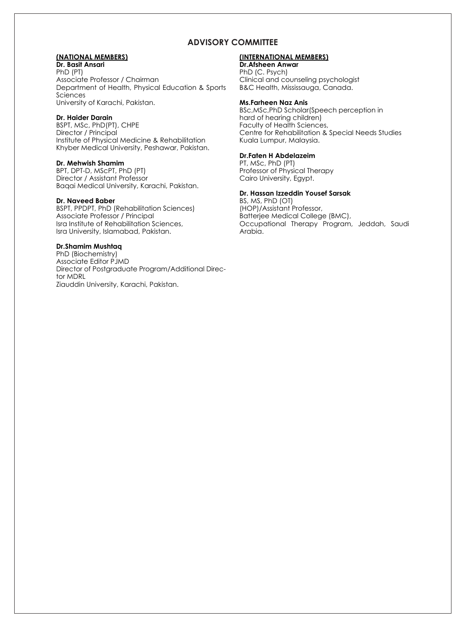## **ADVISORY COMMITTEE**

## **(NATIONAL MEMBERS)**

**Dr. Basit Ansari** PhD (PT) Associate Professor / Chairman Department of Health, Physical Education & Sports Sciences University of Karachi, Pakistan.

## **Dr. Haider Darain**

BSPT, MSc, PhD(PT), CHPE Director / Principal Institute of Physical Medicine & Rehabilitation Khyber Medical University, Peshawar, Pakistan.

#### **Dr. Mehwish Shamim**

BPT, DPT-D, MScPT, PhD (PT) Director / Assistant Professor Baqai Medical University, Karachi, Pakistan.

#### **Dr. Naveed Baber**

BSPT, PPDPT, PhD (Rehabilitation Sciences) Associate Professor / Principal Isra Institute of Rehabilitation Sciences, Isra University, Islamabad, Pakistan.

## **Dr.Shamim Mushtaq**

PhD (Biochemistry) Associate Editor PJMD Director of Postgraduate Program/Additional Director MDRL Ziauddin University, Karachi, Pakistan.

## **(INTERNATIONAL MEMBERS)**

**Dr.Afsheen Anwar** PhD (C. Psych) Clinical and counseling psychologist B&C Health, Mississauga, Canada.

## **Ms.Farheen Naz Anis**

BSc,MSc,PhD Scholar(Speech perception in hard of hearing children) Faculty of Health Sciences, Centre for Rehabilitation & Special Needs Studies Kuala Lumpur, Malaysia.

## **Dr.Faten H Abdelazeim**

PT, MSc, PhD (PT) Professor of Physical Therapy Cairo University, Egypt.

## **Dr. Hassan Izzeddin Yousef Sarsak**

BS, MS, PhD (OT) (HOP)/Assistant Professor, Batterjee Medical College (BMC), Occupational Therapy Program, Jeddah, Saudi Arabia.